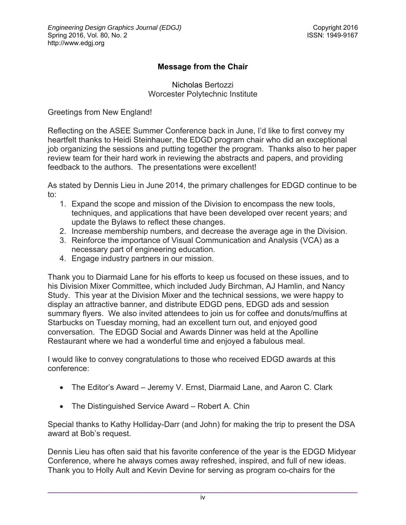## **Message from the Chair**

Nicholas Bertozzi Worcester Polytechnic Institute

Greetings from New England!

Reflecting on the ASEE Summer Conference back in June, I'd like to first convey my heartfelt thanks to Heidi Steinhauer, the EDGD program chair who did an exceptional job organizing the sessions and putting together the program. Thanks also to her paper review team for their hard work in reviewing the abstracts and papers, and providing feedback to the authors. The presentations were excellent!

As stated by Dennis Lieu in June 2014, the primary challenges for EDGD continue to be to:

- 1. Expand the scope and mission of the Division to encompass the new tools, techniques, and applications that have been developed over recent years; and update the Bylaws to reflect these changes.
- 2. Increase membership numbers, and decrease the average age in the Division.
- 3. Reinforce the importance of Visual Communication and Analysis (VCA) as a necessary part of engineering education.
- 4. Engage industry partners in our mission.

Thank you to Diarmaid Lane for his efforts to keep us focused on these issues, and to his Division Mixer Committee, which included Judy Birchman, AJ Hamlin, and Nancy Study. This year at the Division Mixer and the technical sessions, we were happy to display an attractive banner, and distribute EDGD pens, EDGD ads and session summary flyers. We also invited attendees to join us for coffee and donuts/muffins at Starbucks on Tuesday morning, had an excellent turn out, and enjoyed good conversation. The EDGD Social and Awards Dinner was held at the Apolline Restaurant where we had a wonderful time and enjoyed a fabulous meal.

I would like to convey congratulations to those who received EDGD awards at this conference:

- The Editor's Award Jeremy V. Ernst, Diarmaid Lane, and Aaron C. Clark
- The Distinguished Service Award Robert A. Chin

Special thanks to Kathy Holliday-Darr (and John) for making the trip to present the DSA award at Bob's request.

Dennis Lieu has often said that his favorite conference of the year is the EDGD Midyear Conference, where he always comes away refreshed, inspired, and full of new ideas. Thank you to Holly Ault and Kevin Devine for serving as program co-chairs for the